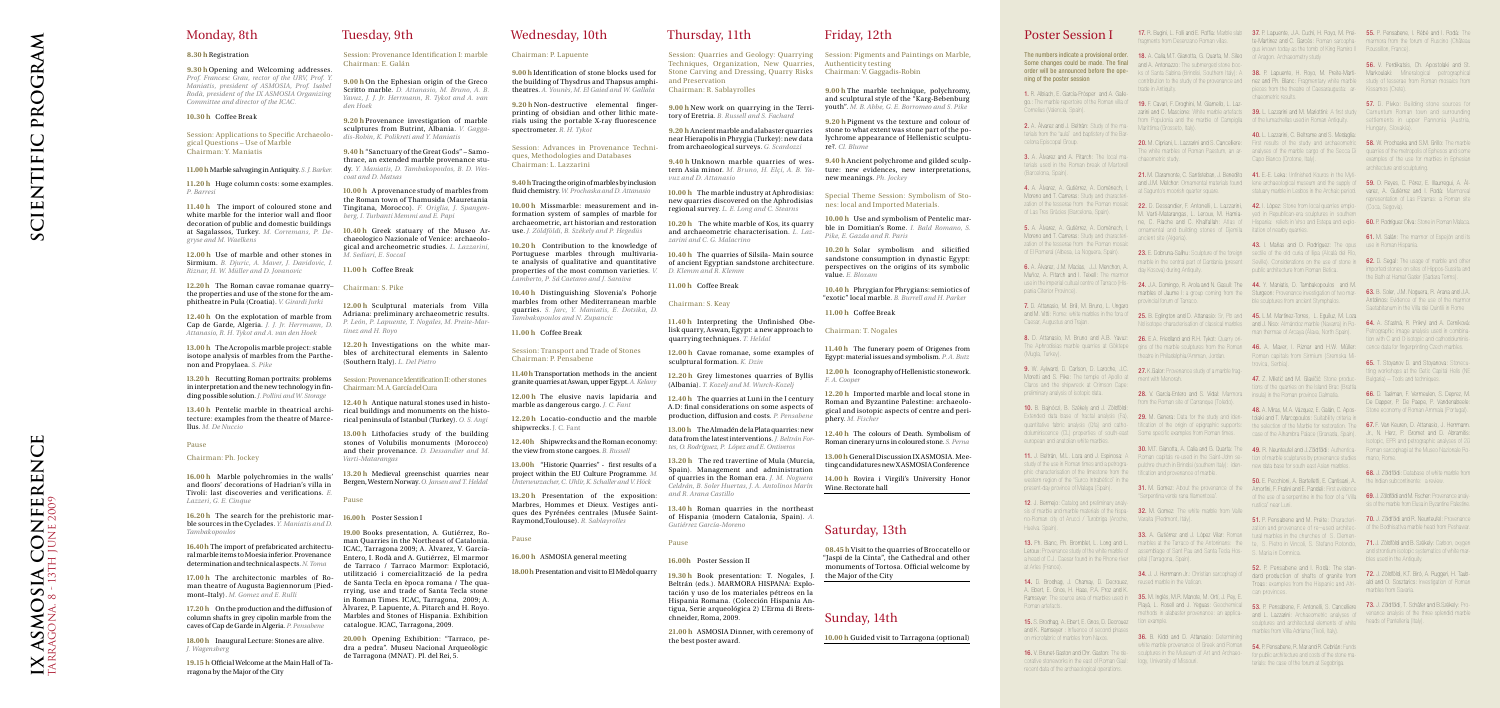# Wednesday, 10th

### Chairman: P. Lapuente

**9.00 h** Identification of stone blocks used for the building of Thysdrus and Thapsus amphitheatres. *A. Younès, M. El Gaied and W. Gallala*

**9.20 h** Non-destructive elemental fingerprinting of obsidian and other lithic materials using the portable X-ray fluorescence spectrometer. *R. H. Tykot*

Session: Advances in Provenance Techniques, Methodologies and Databases Chairman: L. Lazzarini

**9.40h**Tracing the origin of marbles by inclusion fluid chemistry. *W. Prochaska and D. Attanasio*

**10.00 h** Missmarble: measurement and information system of samples of marble for archaeometric, art historian and restoration use. *J. Zöldföldi, B. Székely and P. Hegedüs*

**12.20 h** Locatio-conductio and the marble shipwrecks. J. C. Fant

**10.20 h** Contribution to the knowledge of Portuguese marbles through multivariate analysis of qualitative and quantitative properties of the most common varieties. *V. Lamberto, P. Sá Caetano and J. Saraiva*

**10.40 h** Distinguishing Slovenia's Pohorje marbles from other Mediterranean marble quarries. *S. Jarc, Y. Maniatis, E. Dotsika, D. Tambakopoulos and N. Zupancic*

#### **11.00 h** Coffee Break

#### Session: Transport and Trade of Stones Chairman: P. Pensabene

**11.40h** Transportation methods in the ancient granite quarries at Aswan, upper Egypt. *A. Kelany*

**12.00 h** The elusive navis lapidaria and marble as dangerous cargo. *J. C. Fant*

**12.40h** Shipwrecks and the Roman economy: the view from stone cargoes. *B. Russell*

**13.00h** "Historic Quarries" - first results of a project within the EU Culture Programme. *M. Unterwurzacher, C. Uhlir, K. Schaller and V. Höck*

**13.20 h** Presentation of the exposition: Marbres, Hommes et Dieux. Vestiges antiques des Pyrénées centrales (Musée Saint-Raymond,Toulouse). *R. Sablayrolles*

#### Pause

**16.00 h** ASMOSIA general meeting

**18.00 h** Presentation and visit to El Mèdol quarry

Thursday, 11th

**9.00 h** New work on quarrying in the Territory of Eretria. *B. Russell and S. Fachard* **9.20 h** Ancient marble and alabaster quarries

> near Hierapolis in Phrygia (Turkey): new data from archaeological surveys. *G. Scardozzi*

tern Asia minor. *M. Bruno, H. Elçi, A. B. Yavuz and D. Attanasio*

**10.00 h** The marble industry at Aphrodisias: new quarries discovered on the Aphrodisias regional survey. *L. E. Long and C. Stearns*

**10.20 h** The white marble of Kos, its quarry and archaeometric characterisation. *L. Lazzarini and C. G. Malacrino*

**10.40 h** The quarries of Silsila- Main source of ancient Egyptian sandstone architecture. *D. Klemm and R. Klemm*

**11.00 h** Coffee Break

### Chairman: S. Keay

**11.40 h** Interpreting the Unfinished Obelisk quarry, Aswan, Egypt: a new approach to Chairman: T. Nogales quarrying techniques. *T. Heldal*

**12.00 h** Cavae romanae, some examples of sculptural formation. *K. Dzin*

Session: Quarries and Geology: Quarrying Session: Pigments and Paintings on Marble, Techniques, Organization, New Quarries, Authenticity testing Stone Carving and Dressing, Quarry Risks Chairman: V. Gaggadis-Robin and Preservation Chairman: R. Sablayrolles **9.00 h** The marble technique, polychromy,

**12.20 h** Grey limestones quarries of Byllis (Albania). *T. Kozelj and M. Wurch-Kozelj*

**12.40 h** The quarries at Luni in the I century A.D: final considerations on some aspects of

production, diffusion and costs. *P. Pensabene*

**13.00 h** The Almadén de la Plata quarries: new data from the latest interventions.*J. Beltrán Fortes, O. Rodríguez, P. López and E. Ontiveros*

**9.40 h** Unknown marble quarries of wes-**9.40 h** Ancient polychrome and gilded sculpture: new evidences, new interpretations, new meanings. *Ph. Jockey*

**13.20 h** The red travertine of Mula (Murcia, Spain). Management and administration of quarries in the Roman era. *J. M. Noguera Celdrán, B. Soler Huertas, J. A. Antolinos Marín and R. Arana Castillo*

**13.40 h** Roman quarries in the northeast of Hispania (modern Catalonia, Spain). *A. Gutiérrez García-Moreno*

#### Pause

**16.00h** Poster Session II

**19.30 h** Book presentation: T. Nogales, J.

Beltrán (eds.). MARMORA HISPANA: Explotación y uso de los materiales pétreos en la Hispania Romana. (Colección Hispania Antigua, Serie arqueológica 2) L'Erma di Bretschneider, Roma, 2009.

**21.00 h** ASMOSIA Dinner, with ceremony of the best poster award.

## Friday, 12th

and sculptural style of the "Karg-Bebenburg youth". *M. B. Abbe, G. E. Borromeo and S. Pike*

**9.20 h** Pigment vs the texture and colour of stone to what extent was stone part of the polychrome appearance of Hellenistic sculpture?. *Cl. Blume*

Special Theme Session: Symbolism of Stones: local and Imported Materials.

**10.00 h** Use and symbolism of Pentelic marble in Domitian's Rome. *I. Bald Romano, S. Pike, E. Gazda and R. Paris*

13.40 **h** Pentelic marble in theatrical archi-<br>rical buildings and monuments on the histo-**12.40 h** Antique natural stones used in histo-

**10.20 h** Solar symbolism and silicified sandstone consumption in dynastic Egypt: perspectives on the origins of its symbolic value. *E. Bloxam*

**10.40 h** Phrygian for Phrygians: semiotics of "exotic" local marble. *B. Burrell and H. Parker*

**11.00 h** Coffee Break

**11.40 h** The funerary poem of Origenes from Egypt: material issues and symbolism. *P. A. Butz*

**12.00 h** Iconography of Hellenistic stonework. *F. A. Cooper*

**12.20 h** Imported marble and local stone in Roman and Byzantine Palestine: archaeological and isotopic aspects of centre and periphery. *M. Fischer*

The numbers indicate a provisional order. **18.** A. Calia, M.T. Gianotta, G. Quarta, M. Sileo of Aragon. Archaeometry study ning of the poster session

**12.40 h** The colours of Death. Symbolism of Roman cinerary urns in coloured stone. *S. Perna*

**13.00 h** General Discussion IX ASMOSIA. Meeting candidatures new X ASMOSIA Conference **3.** A. Àlvarez and A. Pitarch: The local materials used in the Roman break of Martorel (Barcelona, Spain).

**14.00 h** Rovira i Virgili's University Honor Wine. Rectorate hall

# Saturday, 13th

4. A. Àlvarez, A. Gutiérrez, A. Domènech, Moreno and T. Carreras: Study and character zation of the tesserae from the Roman mosaid of Las Tres Gràcies (Barcelona, Spain).

**08.45 h** Visit to the quarries of Broccatello or "Jaspi de la Cinta", the Cathedral and other monuments of Tortosa. Official welcome by the Major of the City

5. A. Àlvarez, A. Gutiérrez, A. Domènech, Moreno and T. Carreras: Study and characterization of the tesserae from the Roman mosaid of El Romeral (Albesa, La Noguera, Spain).

Sunday, 14th

**10.00 h** Guided visit to Tarragona (optional)

## Monday, 8th

#### **8.30 h** Registration

8. D. Attanasio, M. Bruno and A.B. Yavuz: 26. E.A. Friedland and R.H. Tykot: Quarry ori-The Aphrodisias marble quarries at Göktepe (Mugla, Turkey).

**9.30 h** Opening and Welcoming addresses. Prof. Francesc Grau, rector of the URV, Prof. Y. *Maniatis, president of ASMOSIA, Prof. Isabel Rodà, president of the IX ASMOSIA Organizing Committee and director of the ICAC.*

> 9. W. Aylward, D. Carlson, D. Laroche, J.C. 27. K.Galor: Provenance study of a marble frag-Moretti and S. Pike: The temple of Apollo at ment with Menorah. Claros and the shipwreck at Crimson Cape: preliminary analysis of isotopic data.

**10.30 h** Coffee Break

### Session: Applications to Specific Archaeological Questions – Use of Marble Chairman: Y. Maniatis

**11.00 h** Marble salvaging in Antiquity. *S. J. Barker.*

**11.20 h** Huge column costs: some examples. *P. Barresi*

> 12. J. Bermeio: Catalog and preliminary analyno-Roman city of Arucci / Turobriga (Aroche, Varaita (Piedmont, Italy). Huelva. Spain).

Leroux: Provenance study of the white marble of assemblage of Sant Pau and Santa Tecla Hos-33. A. Gutiérrez and J. López Vilar: Roman

**11.40 h** The import of coloured stone and white marble for the interior wall and floor decoration of public and domestic buildings at Sagalassos, Turkey. *M. Corremans, P. Degryse and M. Waelkens*

> 14. D. Brodhag, J. Chamay, D. Decrouez, reused marble in the Vatican. A. Ebert, E. Gnos, H. Haas, P.A. Proz and K. Ramseyer: The source area of marbles used in Roman artefacts.

15. S. Brodhag, A. Ebert, E. Gnos, D. Decrouez iion example. and K. Ramseyer : Influence of second phase on microfabric of marbles from Naxos.

**12.00 h** Use of marble and other stones in Sirmium. *B. Djuric, A. Maver, J. Davidovic, I. Riznar, H. W. Müller and D. Jovanovic*

**12.20h** The Roman cavae romanae quarry– Chairman: S. Pike the properties and use of the stone for the amphitheatre in Pula (Croatia). *V. Girardi Jurki*

19. F. Cavari, F. Droghini, M. Giamello, L. Lazfrom Populonia and the marble of Campiglia of the lumachellas used in Roman Antiquity. Marittima (Grosseto, Italy).

**12.40 h** On the explotation of marble from Cap de Garde, Algeria. *J. J. Jr. Herrmann, D. Attanasio, R. H. Tykot and A. van den Hoek*

**13.00 h** The Acropolis marble project: stable isotope analysis of marbles from the Parthenon and Propylaea. *S. Pike*

ornamental and building stones of Djemila itation of nearby quarries. ancient site (Algeria).

**13.20h** Recutting Roman portraits: problems in interpretation and the new technology in fin-Chairman: M. A. García del Cura ding possible solution.*J. Pollini and W. Storage*

tecture: examples from the theatre of Marce-rical peninsula of Istanbul (Turkey). *O. S. Angi* llus. *M. De Nuccio*

#### Pause

#### Chairman: Ph. Jockey

gins of the marble sculptures from the Roman theatre in Philadelphia/Amman, Jordan.

28. V. García-Entero and S. Vidal: Marmora rom the Roman site of Carranque (Toledo

30. M.T. Gianotta, A. Calia and G. Quarta: The 49. R. Neunteufel and J.Zöldföldi: Authentica- Roman sarcophagi at the Museo Nazionale Ro-

**16.00 h** Marble polychromies in the walls' and floors' decorations of Hadrian's villa in Tivoli: last discoveries and verifications. *E. Lazzeri, G. E. Cinque*

**16.20 h** The search for the prehistoric mar-**16.00h** Poster Session I ble sources in the Cyclades. *Y. Maniatis and D. Tambakopoulos*

**16.40 h** The import of prefabricated architectural marble items to Moesia inferior. Provenance determination and technical aspects.*N. Toma*

**17.00 h** The architectonic marbles of Roman theatre of Augusta Bagiennorum (Piedmont–Italy). *M. Gomez and E. Rulli*

**17.20 h** On the production and the diffusion of column shafts in grey cipolin marble from the caves of Cap de Garde in Algeria. *P. Pensabene*

**18.00 h** Inaugural Lecture: Stones are alive. *J. Wagensberg*

contribution to the study of the provenance and nez and Ph. Blanc: Fragmentary white marble study of tesserae from Roman mosaics from pieces from the theatre of Caesaraugusta: ar-Kissamos (Crete). chaeometric results.

**19.15 h** Official Welcome at the Main Hall of Tarragona by the Major of the City

## Tuesday, 9th

Session: Provenance Identification I: marble Chairman: E. Galán

> 20. M. Cipriani, L. Lazzarini and S. Cancelliere: First results of the study and archaeometric The white marbles of Roman Paestum, an ar-<br>
> analyses of the marbles of the marbles of the marble cargo of the Secca Di quarries of the metropolis of Ephesos and some 40. L. Lazzarini, C. Beltrame and S. Medaglia: Capo Bianco (Crotone, Italy).

21. M. Claramonte, C. Santisteban, J. Benedito **41.** E.-E. Leka: Unfinished Kouros in the Myti-

**9.00 h** On the Ephesian origin of the Greco Scritto marble. *D. Attanasio, M. Bruno, A. B. Yavuz, J. J. Jr. Herrmann, R. Tykot and A. van den Hoek*

> 22. D. Dessandier, F. Antonelli, L. Lazzarini, 42. I. López: Stone from local quarries emplo-M. Varti-Matarangas, L. Leroux, M. Hamia-yed in Republican-era sculptures in southern ne, C. Riache and C. Khalfallah: Atlas of Hispania: reliefs in Vrso and Estepa and explo-

**9.20 h** Provenance investigation of marble sculptures from Butrint, Albania. *V. Gaggadis-Robin, K. Polikreti and Y. Maniatis*

> 23. E. Dobruna-Salihu: Sculpture of the foreign sectile of the old curia of Ilipa (Alcalá del Río, marble in the central part of Dardania (present Seville). Considerations on the use of stone in 43. I. Mañas and O. Rodríguez: The opus use in Roman Hispania. public architecture from Roman Betica.

24. J.A. Domingo, R. Arola and N. Gasull: The 44. Y. Maniatis, D. Tambakopoulos and M. marbles of Jaume I: a group coming from the Sturgeon: Provenance investigation of two marble sculptures from ancient Stymphalos.

**9.40 h** "Sanctuary of the Great Gods" – Samothrace, an extended marble provenance study. *Y. Maniatis, D. Tambakopoulos, B. D. Wescoat and D. Matsas*

> 46. A. Maver, I. Riznar and H.W. Müller: Roman capitals from Sirmium (Sremska M trovica, Serbia).

47. Z. Miletić and M. Glavičić: Stone productions of the quarries on the Island Brac (Brattia insula) in the Roman province Dalmatia.

**10.00 h** A provenance study of marbles from the Roman town of Thamusida (Mauretania Tingitana, Morocco). *F. Origlia, J. Spangenberg, I. Turbanti Memmi and E. Papi*

**10.40 h** Greek statuary of the Museo Archaeologico Nazionale of Venice: archaeological and archeometric studies. *L. Lazzarini, M. Sediari, E. Soccal*

> 31. M. Gomez: About the provenance of the Amorfini, F. Fratini and E. Pandeli: First evidence **50.** E. Pecchioni, A. Bartelletti, E. Cantisani, A. the Indian subcontinente: a review. of the use of a serpentine in the floor of a "Villa rustica" near Luni.

**11.00 h** Coffee Break

13. Ph. Blanc, Ph. Bromblet, L. Long and L. marbles at the Tarraco of the Antoninans: the te, S. Pietro in Vincoli, S. Stefano Rotondo, 51. P. Pensabene and M. Preite: Characteri- 70. J. Zöldföldi and R. Neunteufel: Provenance zation and provenance of re¬used architectural marbles in the churches of S. Clemen S. Maria in Domnica.

**12.00 h** Sculptural materials from Villa Adriana: preliminary archaeometric results. *P. León, P. Lapuente, T. Nogales, M. Preite-Martinez and H. Royo*

**12.20 h** Investigations on the white marbles of architectural elements in Salento (Southern Italy). *L. Del Pietro*

Session: Provenance Identification II: other stones

54. P. Pensabene, R. Mar and R. Cebrián: Funds terials: the case of the forum at Segobriga.

17. R. Bugini, L. Folli and E. Roffia: Marble slab **37.** P. Lapuente, J.A. Cuchí, H. Royo, M. Prei- 55. P. Pensabene, I. Rébé and I. Rodà: The te-Martinez and C. Garcés: Roman sarcopha-marmora from the forum of Ruscino (Château gus known today as the tomb of King Ramiro II Roussillon, France).

> 38. P. Lapuente, H. Royo, M. Preite-Marti- Markoulaki: Mineralogical petrographical 56. V. Perdikatsis, Ch. Apostolaki and St.

zarini and C. Mascione: White marble artefacts **39.** L. Lazzarini and M. Mariottini: A first study Carnuntum Roman town and surrounding **57.** D. Pivko: Building stone sources for settlements in upper Pannonia (Austria, Hungary, Slovakia).

**13.00 h** Lithofacies study of the building stones of Volubilis monuments (Morocco) and their provenance. *D. Dessandier and M. Varti-Matarangas*

58. W. Prochaska and S.M. Grillo: The marble examples of the use for marbles in Ephesian architecture and sculpturing.

and J.M. Melchor: Ornamental materials found lene archaeological museum and the supply of **59.** O. Reyes, C. Pérez, E. Illaurregui, A. Àlstatuary marble in Lesbos in the Archaic period. varez, A. Gutiérrez and I. Rodà: Marmoreal representation of Las Pizarras: a Roman site (Coca, Segovia).

**13.20 h** Medieval greenschist quarries near Bergen, Western Norway. *O. Jansen and T. Heldal*

#### Pause

**62.** D. Segal: The usage of marble and other imported stones on sites of Hippos-Sussita and the Bath at Hamat Gader (Gadara Terms). 63. B. Soler, J.M. Noguera, R. Arana and J.A. Antolinos: Evidence of the use of the marmor Saetabitanum in the Villa dei Quintili in Rome 64. A. St'astná, R. Prikryl and A. Cerníková: Petrographic image analysis used in combination with C and O isotopic and cathodoluminiscence data for fingerprinting Czech marbles. **65.** T. Stovanov D. and Stovanova: Stonecu tting workshops at the Getic Capital Helis (NE

66. D. Taelman, F. Vermeulen, S. Deprez, M. De Dapper, P. De Paepe, P. Vandenabeele: Stone economy of Roman Ammaia (Portugal).

**19.00** Books presentation, A. Gutiérrez, Roman Quarries in the Northeast of Catalonia. ICAC, Tarragona 2009; A. Àlvarez, V. García-Entero, I. Rodà and A. Gutiérrez, El marmor de Tarraco / Tarraco Marmor: Explotació, utilització i comercialització de la pedra de Santa Tecla en època romana / The quarrying, use and trade of Santa Tecla stone in Roman Times. ICAC, Tarragona, 2009; A. Àlvarez, P. Lapuente, A. Pitarch and H. Royo. Marbles and Stones of Hispania. Exhibition catalogue. ICAC, Tarragona, 2009.

Extended data base of fractal analysis (Fa), **29.** M. Genera: Data for the study and iden-<br>
tolaki and T. Marcopoulos: Suitability criteria in quantitative fabric analysis (Qfa) and catho- tification of the origin of epigraphic supports: the selection of the Marble for restoration. The 67. F. Van Keuren, D. Attanasio, J. Herrmann. 48. A. Miras, M.A. Vázquez, E. Galán, C. Aposcase of the Alhambra Palace (Granada, Spain). Jr., N. Herz, P. Gromet and D. Abramitis:

11. J. Beltrán, M.L. Loza and J. Espinosa: A Roman capitals re-used in the Saint-John se- tion of marble sculptures by provenance studies mano, Rome.

69. J. Zöldföldi and M. Fischer: Provenance analysis of the marble from Elusa in Byzantine Palestine.

**20.00h** Opening Exhibition: "Tarraco, pedra a pedra". Museu Nacional Arqueològic de Tarragona (MNAT). Pl. del Rei, 5.

# Poster Session I

1. R. Albiach, E. García-Prósper and A. Gallego.: The marble repertoire of the Roman villa of Cornelius (Valencia, Spain).

2. A. Àlvarez and J. Beltrán: Study of the materials from the "aula" and baptistery of the Barcelona Episcopal Group.

6. A. Àlvarez, J.M. Macias, J.J. Menchon, A. Muñoz, A. Pitarch and I. Teixell: The marmor use in the imperial cultual centre of Tarraco (Hispania Citerior Province).

7. D. Attanasio, M. Brili, M. Bruno, L. Ungaro and M. Vitti: Rome: white marbles in the fora of **25.** B. Eglington and D. Attanasio: Sr, Pb and **45.** L.M. Martínez-Torres, L. Eguíluz, M. Loza Caesar, Augustus and Trajan.

10. B. Bajnóczi, B. Székely and J. Zöldföldi: doluminiscence (CL) properties of south-east Some specific examples from Roman times. european and anatolian white marbles.

study of the use in Roman times and a petrogra-pulchre church in Brindisi (southern Italy): iden-new data base for south east Asian marbles. phic characterisation of the limestone from the tification and provenance of marble. western region of the "Surco Intrabético" in the present-day province of Malaga (Spain).

a head of C.J. Caesar found in the Rhone river pital (Tarragona, Spain). at Arles (France).

corative stoneworks in the east of Roman Gaul: logy, University of Missouri. recent data of the archaeological operations.

fragments from Desenzano Roman villas.

Some changes could be made. The final and A. Antonazzo: The submerged stone bocorder will be announced before the ope-<br>ks of Santa Sabina (Brindisi, Southern Italy): A trade in Antiquity.

chaeometric study.

at Sagunto's moorish quarter square.

day Kosova) during Antiquity.

provincial forum of Tarraco.

16. V. Brunet-Gaston and Chr. Gaston: The de-sculptures in the Museum of Art and Archaeo-for public architecture and costs of the stone ma-36. B. Kidd and D. Attanasio: Determining white marble provenance of Greek and Roman

"Serpentina verde rana filamentosa".

sis of marble and marble materials of the hispa- 32. M. Gomez: The white marble from Valle

34. J. J. Herrmann Jr.: Christian sarcophagi of

35. M. Inglés, M.R. Manote, M. Ortí, J. Pey, F. Playà, L. Rosell and J. Yeguas: Geochemical **53.** P. Pensabene, F. Antonelli, S. Cancelliere **73.** J. Zöldföldi, T. Schäfer and B.Székely: Pro-

Nd isotope characterisation of classical marbles and J. Niso: Almándoz marble (Navarra) in Roman thermae of Arcaya (Álava, North Spain).

methods in alabaster provenance: an applica-and L. Lazzarini: Archaeometric analyses of venance analysis of the three splendid marble sculptures and architectural elements of white heads of Pantelleria (Italy). marbles from Villa Adriana (Tivoli, Italy).

52. P. Pensabene and I. Rodà: The standard production of shafts of granite from Troas: examples from the Hispanic and Afri-ald and O. Sosztarics: Investigation of Roman can provinces.

60. P. Rodríguez Oliva: Stone in Roman Malaca.

61. M. Salán: The marmor of Espeión and its

Bulgaria) – Tools and techniques.

Isotopic, EPR and petrographic analyses of 20

68. J. Zöldföldi: Database of white marble from

of the Bodhisattva marble head from Peshawar. **71.** J. Zöldföldi and B. Székely: Carbon, oxygen and strontium isotopic systematics of white mar-

72. J. Zöldföldi, K.T. Biró, A. Ruggeri, H. Taub-

bles used in the Antiquity.

marbles from Savaria.